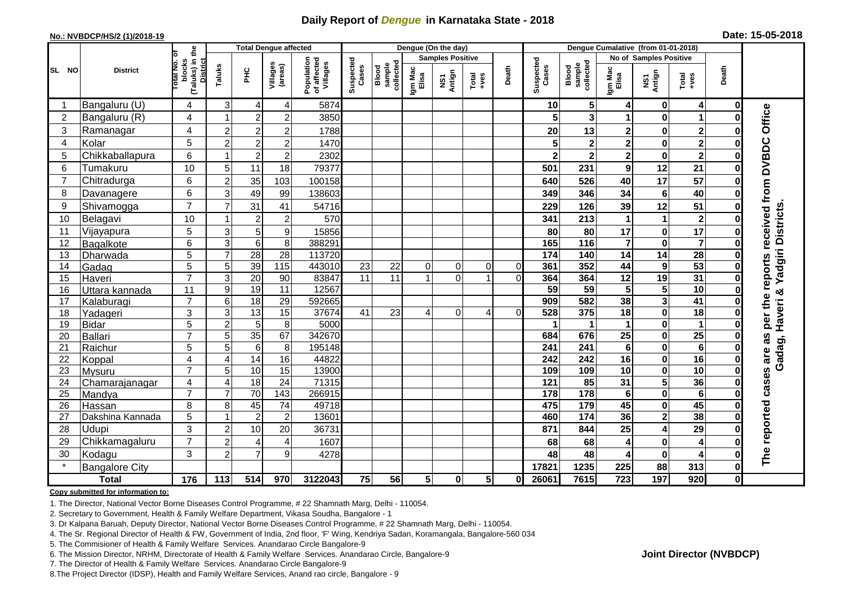## **Daily Report of** *Dengue* **in Karnataka State - 2018**

#### **No.: NVBDCP/HS/2 (1)/2018-19**

|  |  | Date: 15-05-2018 |  |
|--|--|------------------|--|
|--|--|------------------|--|

|                |                       |                                                              |                | <b>Total Dengue affected</b> |                     |                                       | Dengue (On the day) |                              |                         |               |                                                                      |                        | Dengue Cumalative (from 01-01-2018) |                                     |                         |                         |                                                              |              |                     |
|----------------|-----------------------|--------------------------------------------------------------|----------------|------------------------------|---------------------|---------------------------------------|---------------------|------------------------------|-------------------------|---------------|----------------------------------------------------------------------|------------------------|-------------------------------------|-------------------------------------|-------------------------|-------------------------|--------------------------------------------------------------|--------------|---------------------|
|                |                       |                                                              |                |                              |                     |                                       |                     |                              | <b>Samples Positive</b> |               |                                                                      | No of Samples Positive |                                     |                                     |                         |                         |                                                              |              |                     |
| SL NO          | <b>District</b>       | (Taluks) in the<br>Total No. of<br>blocks<br><b>District</b> | Taluks         | $rac{C}{\pi}$                | Villages<br>(areas) | Population<br>of affected<br>Villages | Suspected<br>Cases  | sample<br>collected<br>Blood | Igm Mac<br>Elisa        | NS1<br>Antign | $\begin{array}{c}\n\text{Total} \\ \text{1} & \text{1}\n\end{array}$ | Death                  | Suspected<br>Cases                  | collected<br><b>Blood</b><br>sample | Igm Mac<br>Elisa        | NS1<br>Antign           | $\begin{array}{c}\n\text{Total} \\ \text{Area}\n\end{array}$ | Death        |                     |
|                | Bangaluru (U)         | 4                                                            | 3              | 4                            | 4                   | 5874                                  |                     |                              |                         |               |                                                                      |                        | 10                                  | 5 <sup>1</sup>                      | 4                       | 0                       | $\overline{\mathbf{4}}$                                      | $\mathbf 0$  |                     |
| $\overline{2}$ | Bangaluru (R)         | 4                                                            |                | $\overline{2}$               | $\overline{2}$      | 3850                                  |                     |                              |                         |               |                                                                      |                        |                                     | 3                                   | 1                       | $\bf{0}$                | 1                                                            | $\bf{0}$     |                     |
| 3              | Ramanagar             | 4                                                            | $\overline{c}$ | $\overline{c}$               | $\overline{c}$      | 1788                                  |                     |                              |                         |               |                                                                      |                        | 20                                  | 13                                  | $\overline{\mathbf{2}}$ | $\bf{0}$                | $\mathbf{2}$                                                 | O            | Office              |
| 4              | Kolar                 | 5                                                            | $\overline{c}$ | $\overline{2}$               | $\overline{2}$      | 1470                                  |                     |                              |                         |               |                                                                      |                        |                                     | $\mathbf 2$                         | $\overline{\mathbf{2}}$ | $\mathbf 0$             | $\overline{2}$                                               | 0            |                     |
| 5              | Chikkaballapura       | 6                                                            | -1             | $\boldsymbol{2}$             | $\overline{c}$      | 2302                                  |                     |                              |                         |               |                                                                      |                        |                                     | $\overline{\mathbf{2}}$             | $\overline{\mathbf{2}}$ | $\bf{0}$                | $\overline{\mathbf{2}}$                                      | 0            |                     |
| 6              | Tumakuru              | 10                                                           | 5              | 11                           | 18                  | 79377                                 |                     |                              |                         |               |                                                                      |                        | 501                                 | 231                                 | 9                       | 12                      | 21                                                           | 0            |                     |
| $\overline{7}$ | Chitradurga           | 6                                                            | $\overline{2}$ | 35                           | 103                 | 100158                                |                     |                              |                         |               |                                                                      |                        | 640                                 | 526                                 | 40                      | $\overline{17}$         | 57                                                           | ŋ            |                     |
| 8              | Davanagere            | 6                                                            | 3              | 49                           | 99                  | 138603                                |                     |                              |                         |               |                                                                      |                        | 349                                 | 346                                 | 34                      | $\bf 6$                 | 40                                                           | 0            |                     |
| 9              | Shivamogga            | $\overline{7}$                                               | $\overline{7}$ | 31                           | 41                  | 54716                                 |                     |                              |                         |               |                                                                      |                        | 229                                 | 126                                 | 39                      | 12                      | 51                                                           | $\bf{0}$     | received from DVBDC |
| 10             | Belagavi              | 10                                                           |                | $\overline{2}$               | $\overline{c}$      | 570                                   |                     |                              |                         |               |                                                                      |                        | 341                                 | 213                                 | 1                       | 1                       | $\overline{\mathbf{2}}$                                      | 0            | Yadgiri Districts   |
| 11             | Vijayapura            | 5                                                            | 3              | 5                            | 9                   | 15856                                 |                     |                              |                         |               |                                                                      |                        | 80                                  | 80                                  | 17                      | $\pmb{0}$               | $\overline{17}$                                              | $\bf{0}$     |                     |
| 12             | Bagalkote             | 6                                                            | $\overline{3}$ | $\overline{6}$               | 8                   | 388291                                |                     |                              |                         |               |                                                                      |                        | 165                                 | $\frac{116}{116}$                   | $\overline{\mathbf{7}}$ | $\mathbf 0$             | $\overline{\mathbf{7}}$                                      | 0            |                     |
| 13             | Dharwada              | 5                                                            | $\overline{7}$ | $\overline{28}$              | 28                  | 113720                                |                     |                              |                         |               |                                                                      |                        | 174                                 | 140                                 | 14                      | 14                      | $\overline{28}$                                              | O            |                     |
| 14             | Gadag                 | $\overline{5}$                                               | 5              | 39                           | $\frac{115}{115}$   | 443010                                | 23                  | 22                           | $\Omega$                | $\Omega$      | $\Omega$                                                             | $\Omega$               | 361                                 | 352                                 | 44                      | $\boldsymbol{9}$        | 53                                                           | O            | reports             |
| 15             | Haveri                | $\overline{7}$                                               | 3              | 20                           | 90                  | 83847                                 | 11                  | 11                           |                         | $\Omega$      | 1                                                                    | $\Omega$               | 364                                 | 364                                 | 12                      | 19                      | 31                                                           | 0            |                     |
| 16             | Uttara kannada        | 11                                                           | 9              | $\overline{19}$              | $\overline{11}$     | 12567                                 |                     |                              |                         |               |                                                                      |                        | $\overline{59}$                     | 59                                  | 5                       | 5                       | 10                                                           | $\Omega$     | ఱ                   |
| 17             | Kalaburagi            | $\overline{7}$                                               | 6              | $\overline{18}$              | 29                  | 592665                                |                     |                              |                         |               |                                                                      |                        | 909                                 | 582                                 | 38                      | $\overline{\mathbf{3}}$ | $\overline{41}$                                              |              |                     |
| 18             | Yadageri              | 3                                                            | 3              | 13                           | $\overline{15}$     | 37674                                 | 41                  | 23                           |                         | $\Omega$      | 4                                                                    | $\Omega$               | 528                                 | 375                                 | 18                      | $\mathbf 0$             | $\overline{18}$                                              |              | per the             |
| 19             | <b>Bidar</b>          | 5                                                            | $\overline{c}$ | 5                            | 8                   | 5000                                  |                     |                              |                         |               |                                                                      |                        |                                     | 1                                   | 1                       | $\pmb{0}$               | 1                                                            | 0            |                     |
| 20             | <b>Ballari</b>        | $\overline{7}$                                               | 5              | 35                           | 67                  | 342670                                |                     |                              |                         |               |                                                                      |                        | 684                                 | 676                                 | $\overline{25}$         | $\pmb{0}$               | $\overline{25}$                                              |              | as                  |
| 21             | Raichur               | 5                                                            | 5              | $\,6$                        | 8                   | 195148                                |                     |                              |                         |               |                                                                      |                        | 241                                 | 241                                 | 6                       | $\pmb{0}$               | $6\phantom{1}6$                                              |              |                     |
| 22             | Koppal                | 4                                                            | $\overline{4}$ | 14                           | 16                  | 44822                                 |                     |                              |                         |               |                                                                      |                        | 242                                 | 242                                 | 16                      | $\pmb{0}$               | 16                                                           | 0            | Gadag, Haveri       |
| 23             | Mysuru                | $\overline{7}$                                               | 5              | 10                           | 15                  | 13900                                 |                     |                              |                         |               |                                                                      |                        | 109                                 | 109                                 | $\overline{10}$         | $\overline{\mathbf{0}}$ | $\overline{10}$                                              | $\bf{0}$     |                     |
| 24             | Chamarajanagar        | 4                                                            | $\overline{4}$ | 18                           | $\overline{24}$     | 71315                                 |                     |                              |                         |               |                                                                      |                        | 121                                 | 85                                  | 31                      | $\overline{\mathbf{5}}$ | 36                                                           | O            | cases are           |
| 25             | Mandya                | $\overline{7}$                                               | $\overline{7}$ | 70                           | $\overline{143}$    | 266915                                |                     |                              |                         |               |                                                                      |                        | 178                                 | $\overline{178}$                    | $6\phantom{1}$          | $\pmb{0}$               | $\bf 6$                                                      | $\bf{0}$     |                     |
| 26             | Hassan                | 8                                                            | 8<br>1         | 45                           | 74                  | 49718                                 |                     |                              |                         |               |                                                                      |                        | 475                                 | 179<br>$\overline{174}$             | 45<br>36                | $\mathbf 0$             | 45<br>38                                                     | 0            |                     |
| 27             | Dakshina Kannada      | 5                                                            |                | $\overline{2}$               | $\overline{2}$      | 13601                                 |                     |                              |                         |               |                                                                      |                        | 460                                 |                                     |                         | $\overline{2}$          |                                                              | $\bf{0}$     |                     |
| 28             | Udupi                 | 3                                                            | $\overline{2}$ | 10                           | 20                  | 36731                                 |                     |                              |                         |               |                                                                      |                        | 871                                 | 844                                 | 25                      | 4                       | 29                                                           | ŋ            |                     |
| 29             | Chikkamagaluru        | $\overline{7}$                                               | $\overline{2}$ | 4                            | 4                   | 1607                                  |                     |                              |                         |               |                                                                      |                        | 68                                  | 68                                  | 4                       | $\mathbf 0$             | 4                                                            | Ω            |                     |
| 30             | Kodagu                | 3                                                            | $\overline{2}$ | $\overline{7}$               | 9                   | 4278                                  |                     |                              |                         |               |                                                                      |                        | 48                                  | 48                                  | 4                       | $\pmb{0}$               | 4                                                            | 0            | The reported        |
|                | <b>Bangalore City</b> |                                                              |                |                              |                     |                                       |                     |                              |                         |               |                                                                      |                        | 17821                               | 1235                                | 225                     | 88                      | 313                                                          | $\mathbf{0}$ |                     |
|                | <b>Total</b>          | $\frac{1}{176}$                                              | 113            | 514                          | 970                 | 3122043                               | 75                  | 56                           | 5 <sup>1</sup>          | $\mathbf 0$   | 5 <sub>l</sub>                                                       | 0I                     | 26061                               | 7615                                | $\overline{723}$        | 197                     | 920                                                          | 0            |                     |

#### **Copy submitted for information to:**

1. The Director, National Vector Borne Diseases Control Programme, # 22 Shamnath Marg, Delhi - 110054.

2. Secretary to Government, Health & Family Welfare Department, Vikasa Soudha, Bangalore - 1

3. Dr Kalpana Baruah, Deputy Director, National Vector Borne Diseases Control Programme, # 22 Shamnath Marg, Delhi - 110054.

4. The Sr. Regional Director of Health & FW, Government of India, 2nd floor, 'F' Wing, Kendriya Sadan, Koramangala, Bangalore-560 034

5. The Commisioner of Health & Family Welfare Services. Anandarao Circle Bangalore-9

6. The Mission Director, NRHM, Directorate of Health & Family Welfare Services. Anandarao Circle, Bangalore-9

7. The Director of Health & Family Welfare Services. Anandarao Circle Bangalore-9

8.The Project Director (IDSP), Health and Family Welfare Services, Anand rao circle, Bangalore - 9